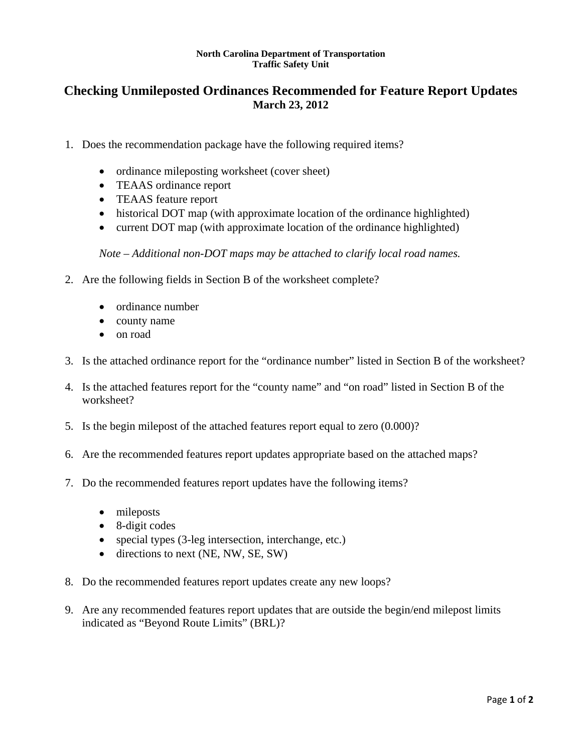## **North Carolina Department of Transportation Traffic Safety Unit**

## **Checking Unmileposted Ordinances Recommended for Feature Report Updates March 23, 2012**

- 1. Does the recommendation package have the following required items?
	- ordinance mileposting worksheet (cover sheet)
	- TEAAS ordinance report
	- TEAAS feature report
	- historical DOT map (with approximate location of the ordinance highlighted)
	- current DOT map (with approximate location of the ordinance highlighted)

*Note – Additional non-DOT maps may be attached to clarify local road names.* 

- 2. Are the following fields in Section B of the worksheet complete?
	- ordinance number
	- county name
	- on road
- 3. Is the attached ordinance report for the "ordinance number" listed in Section B of the worksheet?
- 4. Is the attached features report for the "county name" and "on road" listed in Section B of the worksheet?
- 5. Is the begin milepost of the attached features report equal to zero (0.000)?
- 6. Are the recommended features report updates appropriate based on the attached maps?
- 7. Do the recommended features report updates have the following items?
	- mileposts
	- 8-digit codes
	- special types (3-leg intersection, interchange, etc.)
	- directions to next (NE, NW, SE, SW)
- 8. Do the recommended features report updates create any new loops?
- 9. Are any recommended features report updates that are outside the begin/end milepost limits indicated as "Beyond Route Limits" (BRL)?